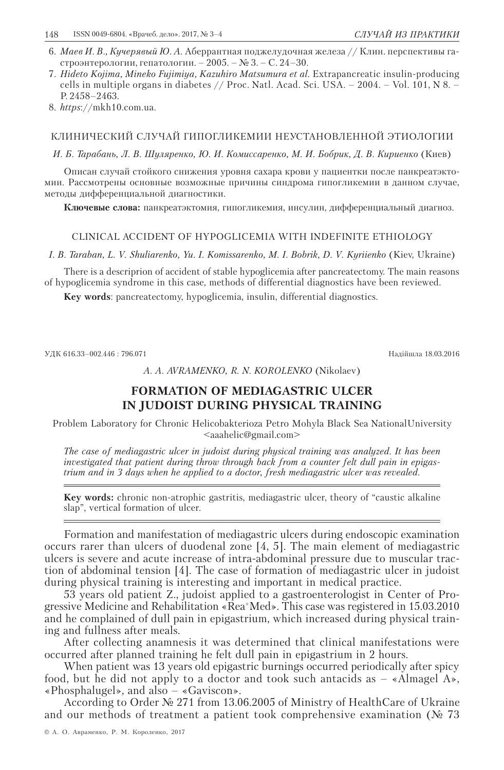- 6. *Маев И. В., Кучерявый Ю. А*. Аберрантная поджелудочная железа // Клин. перспективы гастроэнтерологии, гепатологии. – 2005. – № 3. – С. 24–30.
- 7. *Hideto Kojima, Mineko Fujimiya, Kazuhiro Matsumura et al.* Extrapancreatic insulin-producing cells in multiple organs in diabetes // Proc. Natl. Acad. Sci. USA.  $- 2004$ .  $-$  Vol. 101, N 8.  $-$ P. 2458–2463.
- 8. *https*://mkh10.com.ua.

### КЛИНИЧЕСКИЙ СЛУЧАЙ ГИПОГЛИКЕМИИ НЕУСТАНОВЛЕННОЙ ЭТИОЛОГИИ

*И. Б. Тарабань, Л. В. Шуляренко, Ю. И. Комиссаренко, М. И. Бобрик, Д. В. Кириенко* (Киев)

Описан случай стойкого снижения уровня сахара крови у пациентки после панкреатэктомии. Рассмотрены основные возможные причины синдрома гипогликемии в данном случае, методы дифференциальной диагностики.

**Ключевые слова:** панкреатэктомия, гипогликемия, инсулин, дифференциальный диагноз.

#### CLINICAL ACCIDENT OF HYPOGLICEMIA WITH INDEFINITE ETHIOLOGY

I. B. Taraban, L. V. Shuliarenko, Yu. I. Komissarenko, M. I. Bobrik, D. V. Kyriienko (Kiev, Ukraine)

There is a descriprion of accident of stable hypoglicemia after pancreatectomy. The main reasons of hypoglicemia syndrome in this case, methods of differential diagnostics have been reviewed.

**Key words**: pancreatectomy, hypoglicemia, insulin, differential diagnostics.

УДК 616.33–002.446 : 796.071 Надійшла 18.03.2016

*A. A. Avramenko, R. N. Korolenko* (Nikolaev)

# **FORMATION OF MEDIAGASTRIC ULCER IN JUDOIST DURING PHYSICAL TRAINING**

Problem Laboratory for Сhronic Heliсobakterioza Petro Mohyla Black Sea NationalUniversity <aaahelic@gmail.com>

*The case of mediagastric ulcer in judoist during physical training was analyzed. It has been investigated that patient during throw through back from a counter felt dull pain in epigastrium and in 3 days when he applied to a doctor, fresh mediagastric ulcer was revealed.*

**Key words:** chronic non-atrophic gastritis, mediagastric ulcer, theory of "caustic alkaline slap", vertical formation of ulcer.

Formation and manifestation of mediagastric ulcers during endoscopic examination occurs rarer than ulcers of duodenal zone [4, 5]. The main element of mediagastric ulcers is severe and acute increase of intra-abdominal pressure due to muscular traction of abdominal tension [4]. The case of formation of mediagastric ulcer in judoist during physical training is interesting and important in medical practice.

53 years old patient Z., judoist applied to a gastroenterologist in Center of Progressive Medicine and Rehabilitation «Rea+Med». This case was registered in 15.03.2010 and he complained of dull pain in epigastrium, which increased during physical training and fullness after meals.

After collecting anamnesis it was determined that clinical manifestations were occurred after planned training he felt dull pain in epigastrium in 2 hours.

When patient was 13 years old epigastric burnings occurred periodically after spicy food, but he did not apply to a doctor and took such antacids as – «Almagel А», «Phosphalugel», and also – «Gaviscon».

According to Order № 271 from 13.06.2005 of Ministry of HealthCare of Ukraine and our methods of treatment a patient took comprehensive examination ( $\mathcal{N}_2$  73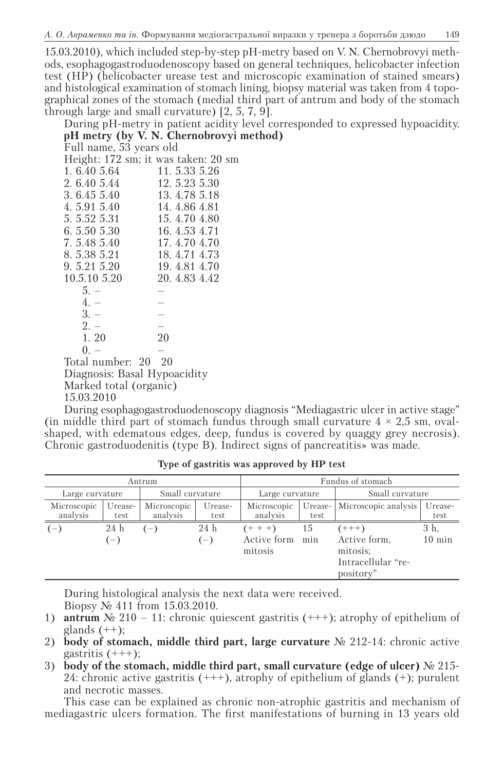15.03.2010), which included step-by-step рН-metry based on V. N. Chernobrovyi methods, esophagogastroduodenoscopy based on general techniques, helicobacter infection test (НР) (helicobacter urease test and microscopic examination of stained smears) and histological examination of stomach lining, biopsy material was taken from 4 topographical zones of the stomach (medial third part of antrum and body of the stomach through large and small curvature) [2, 5, 7, 9].

During рН-metry in patient acidity level corresponded to expressed hypoacidity. **рН metry (by V. N. Chernobrovyi method)**

Full name, 53 years old

Height: 172 sm; it was taken: 20 sm 1. 6.40 5.64 11. 5.33 5.26<br>2. 6.40 5.44 12. 5.23 5.30 2. 6.40 5.44 12. 5.23 5.30<br>3. 6.45 5.40 13. 4.78 5.18 3. 6.45 5.40 13. 4.78 5.18<br>4. 5.91 5.40 14. 4.86 4.81 4. 5.91 5.40 14. 4.86 4.81<br>5. 5.52 5.31 15. 4.70 4.80 5. 5.52 5.31 15. 4.70 4.80<br>6. 5.50 5.30 16. 4.53 4.71 6. 5.50 5.30 16. 4.53 4.71<br>7. 5.48 5.40 17. 4.70 4.70 17. 4.70 4.70 8. 5.38 5.21 18. 4.71 4.73<br>9. 5.21 5.20 19. 4.81 4.70 9. 5.21 5.20 <br>10.5.10 5.20 <br>20. 4.83 4.42 20.4.83 4.42  $5. -$  –  $4. 3. - 2. -$ <br>1. 20  $20$  $1.20$  $0. -$ Total number: 20 20 Diagnosis: Basal Hypoacidity Marked total (organic) 15.03.2010

During esophagogastroduodenoscopy diagnosis "Mediagastric ulcer in active stage" (in middle third part of stomach fundus through small curvature  $4 \times 2.5$  sm, ovalshaped, with edematous edges, deep, fundus is covered by quaggy grey necrosis). Chronic gastroduodenitis (type B). Indirect signs of pancreatitis» was made.

| Antrum                  |                 |                         |                               | Fundus of stomach                   |                 |                                    |                          |
|-------------------------|-----------------|-------------------------|-------------------------------|-------------------------------------|-----------------|------------------------------------|--------------------------|
| Large curvature         |                 | Small curvature         |                               | Large curvature                     |                 | Small curvature                    |                          |
| Microscopic<br>analysis | Urease-<br>test | Microscopic<br>analysis | Urease-<br>test               | Microscopic<br>analysis             | Urease-<br>test | Microscopic analysis               | Urease-<br>test          |
| $(-)$                   | 24 h<br>$(-)$   | $-$                     | 24 h<br>$\epsilon = \epsilon$ | $(+ + +)$<br>Active form<br>mitosis | 15<br>min       | $(++)$<br>Active form,<br>mitosis; | 3 h.<br>$10 \text{ min}$ |
|                         |                 |                         |                               |                                     |                 | Intracellular "re-<br>pository"    |                          |

**Type of gastritis was approved by HP test**

During histological analysis the next data were received. Biopsy № 411 from 15.03.2010.

- 1) **antrum**  $\mathbb{N} \cdot 210 11$ : chronic quiescent gastritis (+++); atrophy of epithelium of glands  $(++)$ ;
- 2) **body of stomach, middle third part, large curvature** № 212-14: chronic active gastritis  $(+++)$ ;
- 3) **body of the stomach, middle third part, small curvature (edge of ulcer)** № 215- 24: chronic active gastritis  $(++)$ , atrophy of epithelium of glands  $(+)$ ; purulent and necrotic masses.

This case can be explained as chronic non-atrophic gastritis and mechanism of mediagastric ulcers formation. The first manifestations of burning in 13 years old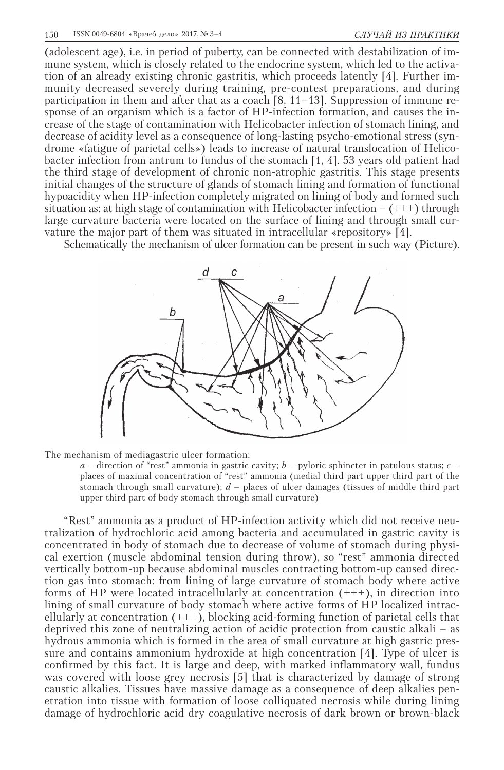(adolescent age), i.e. in period of puberty, can be connected with destabilization of immune system, which is closely related to the endocrine system, which led to the activation of an already existing chronic gastritis, which proceeds latently [4]. Further immunity decreased severely during training, pre-contest preparations, and during participation in them and after that as a coach [8, 11–13]. Suppression of immune response of an organism which is a factor of НР-infection formation, and causes the increase of the stage of contamination with Helicobacter infection of stomach lining, and decrease of acidity level as a consequence of long-lasting psycho-emotional stress (syndrome «fatigue of parietal cells») leads to increase of natural translocation of Helicobacter infection from antrum to fundus of the stomach [1, 4]. 53 years old patient had the third stage of development of chronic non-atrophic gastritis. This stage presents initial changes of the structure of glands of stomach lining and formation of functional hypoacidity when НР-infection completely migrated on lining of body and formed such situation as: at high stage of contamination with Helicobacter infection  $- (+++)$  through large curvature bacteria were located on the surface of lining and through small curvature the major part of them was situated in intracellular «repository» [4].

Schematically the mechanism of ulcer formation can be present in such way (Picture).



The mechanism of mediagastric ulcer formation:

*a* – direction of "rest" ammonia in gastric cavity; *b* – pyloric sphincter in patulous status; *с* – places of maximal concentration of "rest" ammonia (medial third part upper third part of the stomach through small curvature); *d* – places of ulcer damages (tissues of middle third part upper third part of body stomach through small curvature)

"Rest" ammonia as a product of HP-infection activity which did not receive neutralization of hydrochloric acid among bacteria and accumulated in gastric cavity is concentrated in body of stomach due to decrease of volume of stomach during physical exertion (muscle abdominal tension during throw), so "rest" ammonia directed vertically bottom-up because abdominal muscles contracting bottom-up caused direction gas into stomach: from lining of large curvature of stomach body where active forms of НР were located intracellularly at concentration (+++), in direction into lining of small curvature of body stomach where active forms of НР localized intracellularly at concentration (+++), blocking acid-forming function of parietal cells that deprived this zone of neutralizing action of acidic protection from caustic alkali – as hydrous ammonia which is formed in the area of small curvature at high gastric pressure and contains ammonium hydroxide at high concentration [4]. Type of ulcer is confirmed by this fact. It is large and deep, with marked inflammatory wall, fundus was covered with loose grey necrosis [5] that is characterized by damage of strong caustic alkalies. Tissues have massive damage as a consequence of deep alkalies penetration into tissue with formation of loose colliquated necrosis while during lining damage of hydrochloric acid dry coagulative necrosis of dark brown or brown-black